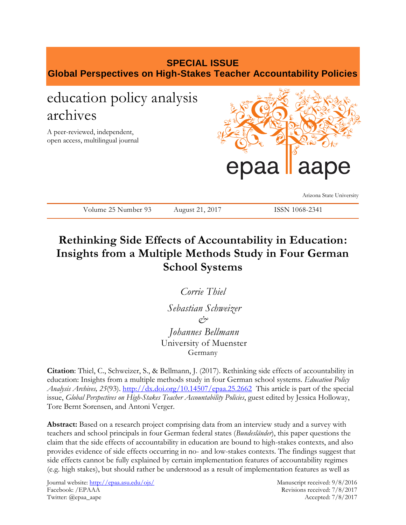# **SPECIAL ISSUE Global Perspectives on High-Stakes Teacher Accountability Policies** education policy analysis archives

A peer-reviewed, independent, open access, multilingual journal



Arizona State University

| Volume 25 Number 93 | August 21, 2017 | ISSN 1068-2341 |
|---------------------|-----------------|----------------|
|---------------------|-----------------|----------------|

# **Rethinking Side Effects of Accountability in Education: Insights from a Multiple Methods Study in Four German School Systems**

*Corrie Thiel Sebastian Schweizer & Johannes Bellmann* 

University of Muenster Germany

**Citation**: Thiel, C., Schweizer, S., & Bellmann, J. (2017). Rethinking side effects of accountability in education: Insights from a multiple methods study in four German school systems. *Education Policy Analysis Archives, 25*(93). <http://dx.doi.org/10.14507/epaa.25.2662> This article is part of the special issue, *Global Perspectives on High-Stakes Teacher Accountability Policies*, guest edited by Jessica Holloway, Tore Bernt Sorensen, and Antoni Verger.

**Abstract:** Based on a research project comprising data from an interview study and a survey with teachers and school principals in four German federal states (*Bundesländer*), this paper questions the claim that the side effects of accountability in education are bound to high-stakes contexts, and also provides evidence of side effects occurring in no- and low-stakes contexts. The findings suggest that side effects cannot be fully explained by certain implementation features of accountability regimes (e.g. high stakes), but should rather be understood as a result of implementation features as well as

Journal website:<http://epaa.asu.edu/ojs/> Manuscript received: 9/8/2016 Facebook: /EPAAA Revisions received: 7/8/2017 Twitter: @epaa\_aape Accepted: 7/8/2017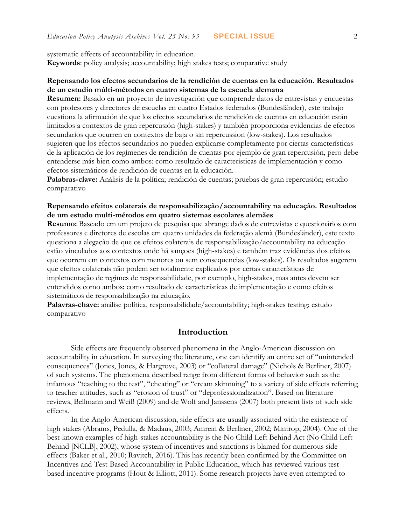systematic effects of accountability in education.

**Keywords**: policy analysis; accountability; high stakes tests; comparative study

## **Repensando los efectos secundarios de la rendición de cuentas en la educación. Resultados de un estudio múlti-métodos en cuatro sistemas de la escuela alemana**

**Resumen:** Basado en un proyecto de investigación que comprende datos de entrevistas y encuestas con profesores y directores de escuelas en cuatro Estados federados (Bundesländer), este trabajo cuestiona la afirmación de que los efectos secundarios de rendición de cuentas en educación están limitados a contextos de gran repercusión (high-stakes) y también proporciona evidencias de efectos secundarios que ocurren en contextos de baja o sin repercussion (low-stakes). Los resultados sugieren que los efectos secundarios no pueden explicarse completamente por ciertas características de la aplicación de los regímenes de rendición de cuentas por ejemplo de gran repercusión, pero debe entenderse más bien como ambos: como resultado de características de implementación y como efectos sistemáticos de rendición de cuentas en la educación.

**Palabras-clave:** Análisis de la política; rendición de cuentas; pruebas de gran repercusión; estudio comparativo

## **Repensando efeitos colaterais de responsabilização/accountability na educação. Resultados de um estudo multi-métodos em quatro sistemas escolares alemães**

**Resumo:** Baseado em um projeto de pesquisa que abrange dados de entrevistas e questionários com professores e diretores de escolas em quatro unidades da federação alemã (Bundesländer), este texto questiona a alegação de que os efeitos colaterais de responsabilização/accountability na educação estão vinculados aos contextos onde há sançoes (high-stakes) e também traz evidências dos efeitos que ocorrem em contextos com menores ou sem consequencias (low-stakes). Os resultados sugerem que efeitos colaterais não podem ser totalmente explicados por certas características de implementação de regimes de responsabilidade, por exemplo, high-stakes, mas antes devem ser entendidos como ambos: como resultado de características de implementação e como efeitos sistemáticos de responsabilização na educação.

**Palavras-chave:** análise política, responsabilidade/accountability; high-stakes testing; estudo comparativo

## **Introduction**

Side effects are frequently observed phenomena in the Anglo-American discussion on accountability in education. In surveying the literature, one can identify an entire set of "unintended consequences" (Jones, Jones, & Hargrove, 2003) or "collateral damage" (Nichols & Berliner, 2007) of such systems. The phenomena described range from different forms of behavior such as the infamous "teaching to the test", "cheating" or "cream skimming" to a variety of side effects referring to teacher attitudes, such as "erosion of trust" or "deprofessionalization". Based on literature reviews, Bellmann and Weiß (2009) and de Wolf and Janssens (2007) both present lists of such side effects.

In the Anglo-American discussion, side effects are usually associated with the existence of high stakes (Abrams, Pedulla, & Madaus, 2003; Amrein & Berliner, 2002; Mintrop, 2004). One of the best-known examples of high-stakes accountability is the No Child Left Behind Act (No Child Left Behind [NCLB], 2002), whose system of incentives and sanctions is blamed for numerous side effects (Baker et al., 2010; Ravitch, 2016). This has recently been confirmed by the Committee on Incentives and Test-Based Accountability in Public Education, which has reviewed various testbased incentive programs (Hout & Elliott, 2011). Some research projects have even attempted to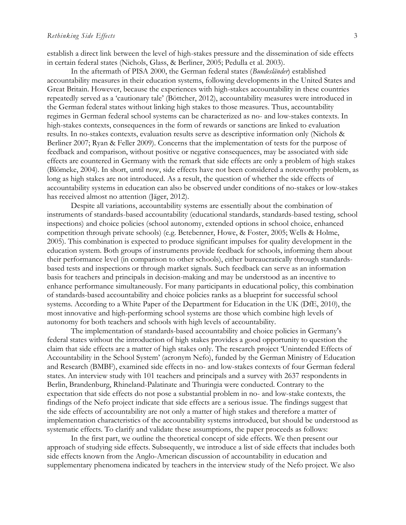establish a direct link between the level of high-stakes pressure and the dissemination of side effects in certain federal states (Nichols, Glass, & Berliner, 2005; Pedulla et al. 2003).

In the aftermath of PISA 2000, the German federal states (*Bundesländer*) established accountability measures in their education systems, following developments in the United States and Great Britain. However, because the experiences with high-stakes accountability in these countries repeatedly served as a 'cautionary tale' (Böttcher, 2012), accountability measures were introduced in the German federal states without linking high stakes to those measures. Thus, accountability regimes in German federal school systems can be characterized as no- and low-stakes contexts. In high-stakes contexts, consequences in the form of rewards or sanctions are linked to evaluation results. In no-stakes contexts, evaluation results serve as descriptive information only (Nichols & Berliner 2007; Ryan & Feller 2009). Concerns that the implementation of tests for the purpose of feedback and comparison, without positive or negative consequences, may be associated with side effects are countered in Germany with the remark that side effects are only a problem of high stakes (Blömeke, 2004). In short, until now, side effects have not been considered a noteworthy problem, as long as high stakes are not introduced. As a result, the question of whether the side effects of accountability systems in education can also be observed under conditions of no-stakes or low-stakes has received almost no attention (Jäger, 2012).

Despite all variations, accountability systems are essentially about the combination of instruments of standards-based accountability (educational standards, standards-based testing, school inspections) and choice policies (school autonomy, extended options in school choice, enhanced competition through private schools) (e.g. Betebenner, Howe, & Foster, 2005; Wells & Holme, 2005). This combination is expected to produce significant impulses for quality development in the education system. Both groups of instruments provide feedback for schools, informing them about their performance level (in comparison to other schools), either bureaucratically through standardsbased tests and inspections or through market signals. Such feedback can serve as an information basis for teachers and principals in decision-making and may be understood as an incentive to enhance performance simultaneously. For many participants in educational policy, this combination of standards-based accountability and choice policies ranks as a blueprint for successful school systems. According to a White Paper of the Department for Education in the UK (DfE, 2010), the most innovative and high-performing school systems are those which combine high levels of autonomy for both teachers and schools with high levels of accountability.

The implementation of standards-based accountability and choice policies in Germany's federal states without the introduction of high stakes provides a good opportunity to question the claim that side effects are a matter of high stakes only. The research project 'Unintended Effects of Accountability in the School System' (acronym Nefo), funded by the German Ministry of Education and Research (BMBF), examined side effects in no- and low-stakes contexts of four German federal states. An interview study with 101 teachers and principals and a survey with 2637 respondents in Berlin, Brandenburg, Rhineland-Palatinate and Thuringia were conducted. Contrary to the expectation that side effects do not pose a substantial problem in no- and low-stake contexts, the findings of the Nefo project indicate that side effects are a serious issue. The findings suggest that the side effects of accountability are not only a matter of high stakes and therefore a matter of implementation characteristics of the accountability systems introduced, but should be understood as systematic effects. To clarify and validate these assumptions, the paper proceeds as follows:

In the first part, we outline the theoretical concept of side effects. We then present our approach of studying side effects. Subsequently, we introduce a list of side effects that includes both side effects known from the Anglo-American discussion of accountability in education and supplementary phenomena indicated by teachers in the interview study of the Nefo project. We also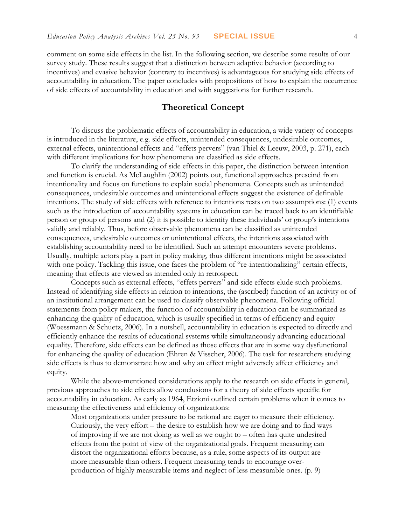comment on some side effects in the list. In the following section, we describe some results of our survey study. These results suggest that a distinction between adaptive behavior (according to incentives) and evasive behavior (contrary to incentives) is advantageous for studying side effects of accountability in education. The paper concludes with propositions of how to explain the occurrence of side effects of accountability in education and with suggestions for further research.

## **Theoretical Concept**

To discuss the problematic effects of accountability in education, a wide variety of concepts is introduced in the literature, e.g. side effects, unintended consequences, undesirable outcomes, external effects, unintentional effects and "effets pervers" (van Thiel & Leeuw, 2003, p. 271), each with different implications for how phenomena are classified as side effects.

To clarify the understanding of side effects in this paper, the distinction between intention and function is crucial. As McLaughlin (2002) points out, functional approaches prescind from intentionality and focus on functions to explain social phenomena. Concepts such as unintended consequences, undesirable outcomes and unintentional effects suggest the existence of definable intentions. The study of side effects with reference to intentions rests on two assumptions: (1) events such as the introduction of accountability systems in education can be traced back to an identifiable person or group of persons and (2) it is possible to identify these individuals' or group's intentions validly and reliably. Thus, before observable phenomena can be classified as unintended consequences, undesirable outcomes or unintentional effects, the intentions associated with establishing accountability need to be identified. Such an attempt encounters severe problems. Usually, multiple actors play a part in policy making, thus different intentions might be associated with one policy. Tackling this issue, one faces the problem of "re-intentionalizing" certain effects, meaning that effects are viewed as intended only in retrospect.

Concepts such as external effects, "effets pervers" and side effects elude such problems. Instead of identifying side effects in relation to intentions, the (ascribed) function of an activity or of an institutional arrangement can be used to classify observable phenomena. Following official statements from policy makers, the function of accountability in education can be summarized as enhancing the quality of education, which is usually specified in terms of efficiency and equity (Woessmann & Schuetz, 2006). In a nutshell, accountability in education is expected to directly and efficiently enhance the results of educational systems while simultaneously advancing educational equality. Therefore, side effects can be defined as those effects that are in some way dysfunctional for enhancing the quality of education (Ehren & Visscher, 2006). The task for researchers studying side effects is thus to demonstrate how and why an effect might adversely affect efficiency and equity.

While the above-mentioned considerations apply to the research on side effects in general, previous approaches to side effects allow conclusions for a theory of side effects specific for accountability in education. As early as 1964, Etzioni outlined certain problems when it comes to measuring the effectiveness and efficiency of organizations:

Most organizations under pressure to be rational are eager to measure their efficiency. Curiously, the very effort – the desire to establish how we are doing and to find ways of improving if we are not doing as well as we ought to – often has quite undesired effects from the point of view of the organizational goals. Frequent measuring can distort the organizational efforts because, as a rule, some aspects of its output are more measurable than others. Frequent measuring tends to encourage overproduction of highly measurable items and neglect of less measurable ones. (p. 9)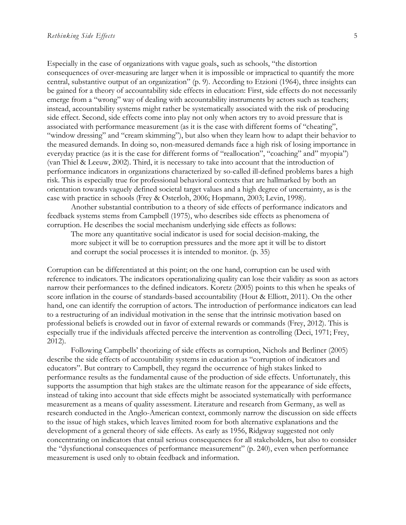Especially in the case of organizations with vague goals, such as schools, "the distortion consequences of over-measuring are larger when it is impossible or impractical to quantify the more central, substantive output of an organization" (p. 9). According to Etzioni (1964), three insights can be gained for a theory of accountability side effects in education: First, side effects do not necessarily emerge from a "wrong" way of dealing with accountability instruments by actors such as teachers; instead, accountability systems might rather be systematically associated with the risk of producing side effect. Second, side effects come into play not only when actors try to avoid pressure that is associated with performance measurement (as it is the case with different forms of "cheating", "window dressing" and "cream skimming"), but also when they learn how to adapt their behavior to the measured demands. In doing so, non-measured demands face a high risk of losing importance in everyday practice (as it is the case for different forms of "reallocation", "coaching" and" myopia") (van Thiel & Leeuw, 2002). Third, it is necessary to take into account that the introduction of performance indicators in organizations characterized by so-called ill-defined problems bares a high risk. This is especially true for professional behavioral contexts that are hallmarked by both an orientation towards vaguely defined societal target values and a high degree of uncertainty, as is the case with practice in schools (Frey & Osterloh, 2006; Hopmann, 2003; Levin, 1998).

Another substantial contribution to a theory of side effects of performance indicators and feedback systems stems from Campbell (1975), who describes side effects as phenomena of corruption. He describes the social mechanism underlying side effects as follows:

The more any quantitative social indicator is used for social decision-making, the more subject it will be to corruption pressures and the more apt it will be to distort and corrupt the social processes it is intended to monitor. (p. 35)

Corruption can be differentiated at this point; on the one hand, corruption can be used with reference to indicators. The indicators operationalizing quality can lose their validity as soon as actors narrow their performances to the defined indicators. Koretz (2005) points to this when he speaks of score inflation in the course of standards-based accountability (Hout & Elliott, 2011). On the other hand, one can identify the corruption of actors. The introduction of performance indicators can lead to a restructuring of an individual motivation in the sense that the intrinsic motivation based on professional beliefs is crowded out in favor of external rewards or commands (Frey, 2012). This is especially true if the individuals affected perceive the intervention as controlling (Deci, 1971; Frey, 2012).

Following Campbells' theorizing of side effects as corruption, Nichols and Berliner (2005) describe the side effects of accountability systems in education as "corruption of indicators and educators". But contrary to Campbell, they regard the occurrence of high stakes linked to performance results as the fundamental cause of the production of side effects. Unfortunately, this supports the assumption that high stakes are the ultimate reason for the appearance of side effects, instead of taking into account that side effects might be associated systematically with performance measurement as a means of quality assessment. Literature and research from Germany, as well as research conducted in the Anglo-American context, commonly narrow the discussion on side effects to the issue of high stakes, which leaves limited room for both alternative explanations and the development of a general theory of side effects. As early as 1956, Ridgway suggested not only concentrating on indicators that entail serious consequences for all stakeholders, but also to consider the "dysfunctional consequences of performance measurement" (p. 240), even when performance measurement is used only to obtain feedback and information.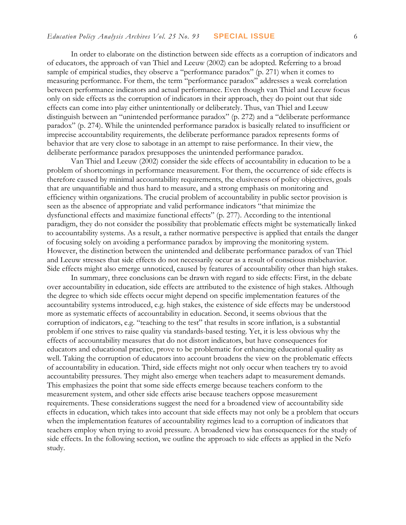In order to elaborate on the distinction between side effects as a corruption of indicators and of educators, the approach of van Thiel and Leeuw (2002) can be adopted. Referring to a broad sample of empirical studies, they observe a "performance paradox" (p. 271) when it comes to measuring performance. For them, the term "performance paradox" addresses a weak correlation between performance indicators and actual performance. Even though van Thiel and Leeuw focus only on side effects as the corruption of indicators in their approach, they do point out that side effects can come into play either unintentionally or deliberately. Thus, van Thiel and Leeuw distinguish between an "unintended performance paradox" (p. 272) and a "deliberate performance paradox" (p. 274). While the unintended performance paradox is basically related to insufficient or imprecise accountability requirements, the deliberate performance paradox represents forms of behavior that are very close to sabotage in an attempt to raise performance. In their view, the deliberate performance paradox presupposes the unintended performance paradox.

Van Thiel and Leeuw (2002) consider the side effects of accountability in education to be a problem of shortcomings in performance measurement. For them, the occurrence of side effects is therefore caused by minimal accountability requirements, the elusiveness of policy objectives, goals that are unquantifiable and thus hard to measure, and a strong emphasis on monitoring and efficiency within organizations. The crucial problem of accountability in public sector provision is seen as the absence of appropriate and valid performance indicators "that minimize the dysfunctional effects and maximize functional effects" (p. 277). According to the intentional paradigm, they do not consider the possibility that problematic effects might be systematically linked to accountability systems. As a result, a rather normative perspective is applied that entails the danger of focusing solely on avoiding a performance paradox by improving the monitoring system. However, the distinction between the unintended and deliberate performance paradox of van Thiel and Leeuw stresses that side effects do not necessarily occur as a result of conscious misbehavior. Side effects might also emerge unnoticed, caused by features of accountability other than high stakes.

In summary, three conclusions can be drawn with regard to side effects: First, in the debate over accountability in education, side effects are attributed to the existence of high stakes. Although the degree to which side effects occur might depend on specific implementation features of the accountability systems introduced, e.g. high stakes, the existence of side effects may be understood more as systematic effects of accountability in education. Second, it seems obvious that the corruption of indicators, e.g. "teaching to the test" that results in score inflation, is a substantial problem if one strives to raise quality via standards-based testing. Yet, it is less obvious why the effects of accountability measures that do not distort indicators, but have consequences for educators and educational practice, prove to be problematic for enhancing educational quality as well. Taking the corruption of educators into account broadens the view on the problematic effects of accountability in education. Third, side effects might not only occur when teachers try to avoid accountability pressures. They might also emerge when teachers adapt to measurement demands. This emphasizes the point that some side effects emerge because teachers conform to the measurement system, and other side effects arise because teachers oppose measurement requirements. These considerations suggest the need for a broadened view of accountability side effects in education, which takes into account that side effects may not only be a problem that occurs when the implementation features of accountability regimes lead to a corruption of indicators that teachers employ when trying to avoid pressure. A broadened view has consequences for the study of side effects. In the following section, we outline the approach to side effects as applied in the Nefo study.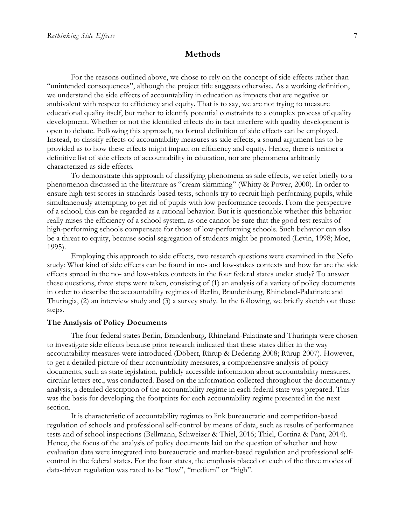## **Methods**

For the reasons outlined above, we chose to rely on the concept of side effects rather than "unintended consequences", although the project title suggests otherwise. As a working definition, we understand the side effects of accountability in education as impacts that are negative or ambivalent with respect to efficiency and equity. That is to say, we are not trying to measure educational quality itself, but rather to identify potential constraints to a complex process of quality development. Whether or not the identified effects do in fact interfere with quality development is open to debate. Following this approach, no formal definition of side effects can be employed. Instead, to classify effects of accountability measures as side effects, a sound argument has to be provided as to how these effects might impact on efficiency and equity. Hence, there is neither a definitive list of side effects of accountability in education, nor are phenomena arbitrarily characterized as side effects.

To demonstrate this approach of classifying phenomena as side effects, we refer briefly to a phenomenon discussed in the literature as "cream skimming" (Whitty & Power, 2000). In order to ensure high test scores in standards-based tests, schools try to recruit high-performing pupils, while simultaneously attempting to get rid of pupils with low performance records. From the perspective of a school, this can be regarded as a rational behavior. But it is questionable whether this behavior really raises the efficiency of a school system, as one cannot be sure that the good test results of high-performing schools compensate for those of low-performing schools. Such behavior can also be a threat to equity, because social segregation of students might be promoted (Levin, 1998; Moe, 1995).

Employing this approach to side effects, two research questions were examined in the Nefo study: What kind of side effects can be found in no- and low-stakes contexts and how far are the side effects spread in the no- and low-stakes contexts in the four federal states under study? To answer these questions, three steps were taken, consisting of (1) an analysis of a variety of policy documents in order to describe the accountability regimes of Berlin, Brandenburg, Rhineland-Palatinate and Thuringia, (2) an interview study and (3) a survey study. In the following, we briefly sketch out these steps.

#### **The Analysis of Policy Documents**

The four federal states Berlin, Brandenburg, Rhineland-Palatinate and Thuringia were chosen to investigate side effects because prior research indicated that these states differ in the way accountability measures were introduced (Döbert, Rürup & Dedering 2008; Rürup 2007). However, to get a detailed picture of their accountability measures, a comprehensive analysis of policy documents, such as state legislation, publicly accessible information about accountability measures, circular letters etc., was conducted. Based on the information collected throughout the documentary analysis, a detailed description of the accountability regime in each federal state was prepared. This was the basis for developing the footprints for each accountability regime presented in the next section.

It is characteristic of accountability regimes to link bureaucratic and competition-based regulation of schools and professional self-control by means of data, such as results of performance tests and of school inspections (Bellmann, Schweizer & Thiel, 2016; Thiel, Cortina & Pant, 2014). Hence, the focus of the analysis of policy documents laid on the question of whether and how evaluation data were integrated into bureaucratic and market-based regulation and professional selfcontrol in the federal states. For the four states, the emphasis placed on each of the three modes of data-driven regulation was rated to be "low", "medium" or "high".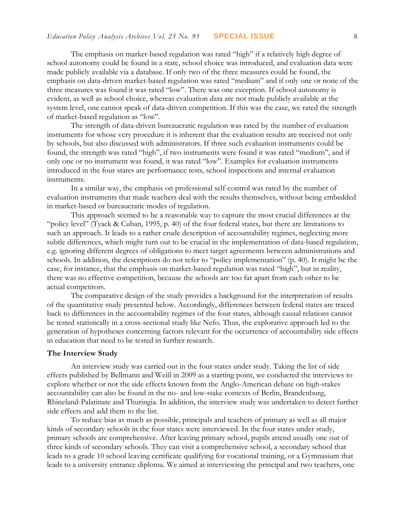The emphasis on market-based regulation was rated "high" if a relatively high degree of school autonomy could be found in a state, school choice was introduced, and evaluation data were made publicly available via a database. If only two of the three measures could be found, the emphasis on data-driven market-based regulation was rated "medium" and if only one or none of the three measures was found it was rated "low". There was one exception. If school autonomy is evident, as well as school choice, whereas evaluation data are not made publicly available at the system level, one cannot speak of data-driven competition. If this was the case, we rated the strength of market-based regulation as "low".

The strength of data-driven bureaucratic regulation was rated by the number of evaluation instruments for whose very procedure it is inherent that the evaluation results are received not only by schools, but also discussed with administrators. If three such evaluation instruments could be found, the strength was rated "high", if two instruments were found it was rated "medium", and if only one or no instrument was found, it was rated "low". Examples for evaluation instruments introduced in the four states are performance tests, school inspections and internal evaluation instruments.

In a similar way, the emphasis on professional self-control was rated by the number of evaluation instruments that made teachers deal with the results themselves, without being embedded in market-based or bureaucratic modes of regulation.

This approach seemed to be a reasonable way to capture the most crucial differences at the "policy level" (Tyack & Cuban, 1995, p. 40) of the four federal states, but there are limitations to such an approach. It leads to a rather crude description of accountability regimes, neglecting more subtle differences, which might turn out to be crucial in the implementation of data-based regulation, e.g. ignoring different degrees of obligations to meet target agreements between administrations and schools. In addition, the descriptions do not refer to "policy implementation" (p. 40). It might be the case, for instance, that the emphasis on market-based regulation was rated "high", but in reality, there was no effective competition, because the schools are too far apart from each other to be actual competitors.

The comparative design of the study provides a background for the interpretation of results of the quantitative study presented below. Accordingly, differences between federal states are traced back to differences in the accountability regimes of the four states, although causal relations cannot be tested statistically in a cross-sectional study like Nefo. Thus, the explorative approach led to the generation of hypotheses concerning factors relevant for the occurrence of accountability side effects in education that need to be tested in further research.

#### **The Interview Study**

An interview study was carried out in the four states under study. Taking the list of side effects published by Bellmann and Weiß in 2009 as a starting point, we conducted the interviews to explore whether or not the side effects known from the Anglo-American debate on high-stakes accountability can also be found in the no- and low-stake contexts of Berlin, Brandenburg, Rhineland-Palatinate and Thuringia. In addition, the interview study was undertaken to detect further side effects and add them to the list.

To reduce bias as much as possible, principals and teachers of primary as well as all major kinds of secondary schools in the four states were interviewed. In the four states under study, primary schools are comprehensive. After leaving primary school, pupils attend usually one out of three kinds of secondary schools. They can visit a comprehensive school, a secondary school that leads to a grade 10 school leaving certificate qualifying for vocational training, or a Gymnasium that leads to a university entrance diploma. We aimed at interviewing the principal and two teachers, one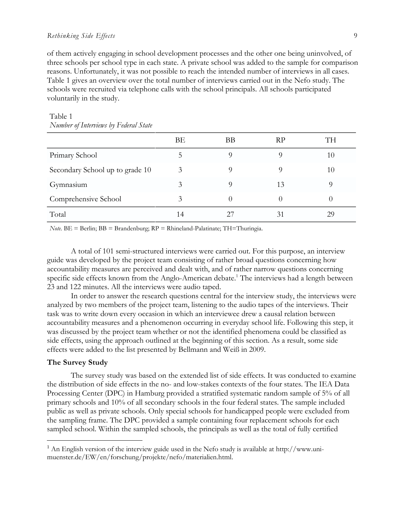#### *Rethinking Side Effects* 9

of them actively engaging in school development processes and the other one being uninvolved, of three schools per school type in each state. A private school was added to the sample for comparison reasons. Unfortunately, it was not possible to reach the intended number of interviews in all cases. Table 1 gives an overview over the total number of interviews carried out in the Nefo study. The schools were recruited via telephone calls with the school principals. All schools participated voluntarily in the study.

|                                 | BЕ | BB       | <b>RP</b>        | TH |
|---------------------------------|----|----------|------------------|----|
| Primary School                  | C  | $\Omega$ | 9                | 10 |
| Secondary School up to grade 10 | 3  | O)       |                  | 10 |
| Gymnasium                       | 3  | Q        | 13               |    |
| Comprehensive School            | 3  | $\theta$ | $\left( \right)$ |    |
| Total                           | 14 | 27       | 31               | 29 |
|                                 |    |          |                  |    |

## Table 1 *Number of Interviews by Federal State*

*Note.*  $BE = Berlin$ ;  $BB = Brandenburg$ ;  $RP = Rhineland-Palatinate$ ;  $TH = Thuringia$ .

A total of 101 semi-structured interviews were carried out. For this purpose, an interview guide was developed by the project team consisting of rather broad questions concerning how accountability measures are perceived and dealt with, and of rather narrow questions concerning specific side effects known from the Anglo-American debate.<sup>1</sup> The interviews had a length between 23 and 122 minutes. All the interviews were audio taped.

In order to answer the research questions central for the interview study, the interviews were analyzed by two members of the project team, listening to the audio tapes of the interviews. Their task was to write down every occasion in which an interviewee drew a causal relation between accountability measures and a phenomenon occurring in everyday school life. Following this step, it was discussed by the project team whether or not the identified phenomena could be classified as side effects, using the approach outlined at the beginning of this section. As a result, some side effects were added to the list presented by Bellmann and Weiß in 2009.

#### **The Survey Study**

 $\overline{a}$ 

The survey study was based on the extended list of side effects. It was conducted to examine the distribution of side effects in the no- and low-stakes contexts of the four states. The IEA Data Processing Center (DPC) in Hamburg provided a stratified systematic random sample of 5% of all primary schools and 10% of all secondary schools in the four federal states. The sample included public as well as private schools. Only special schools for handicapped people were excluded from the sampling frame. The DPC provided a sample containing four replacement schools for each sampled school. Within the sampled schools, the principals as well as the total of fully certified

 $1$  An English version of the interview guide used in the Nefo study is available at http://www.unimuenster.de/EW/en/forschung/projekte/nefo/materialien.html.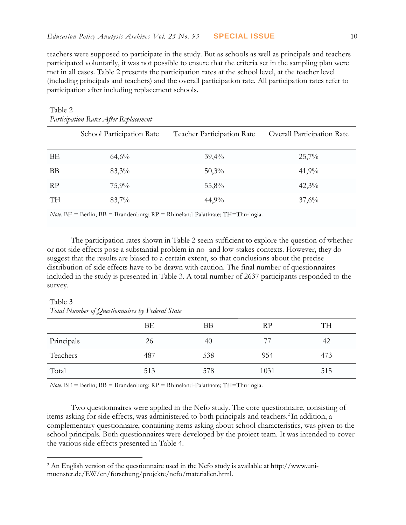teachers were supposed to participate in the study. But as schools as well as principals and teachers participated voluntarily, it was not possible to ensure that the criteria set in the sampling plan were met in all cases. Table 2 presents the participation rates at the school level, at the teacher level (including principals and teachers) and the overall participation rate. All participation rates refer to participation after including replacement schools.

| $\frac{1}{2}$ in nonpannon $\frac{1}{2}$ anno $\frac{1}{2}$ after $\frac{1}{2}$ as provented in |                           |                            |                            |  |  |
|-------------------------------------------------------------------------------------------------|---------------------------|----------------------------|----------------------------|--|--|
|                                                                                                 | School Participation Rate | Teacher Participation Rate | Overall Participation Rate |  |  |
| BΕ                                                                                              | 64,6%                     | 39,4%                      | 25,7%                      |  |  |
| <b>BB</b>                                                                                       | $83,3\%$                  | 50,3%                      | 41,9%                      |  |  |
| RP                                                                                              | 75,9%                     | 55,8%                      | $42,3\%$                   |  |  |
| <b>TH</b>                                                                                       | $83,7\%$                  | 44,9%                      | 37,6%                      |  |  |
|                                                                                                 |                           |                            |                            |  |  |

#### Table 2 *Participation Rates After Replacement*

*Note.* BE = Berlin; BB = Brandenburg; RP = Rhineland-Palatinate; TH=Thuringia.

The participation rates shown in Table 2 seem sufficient to explore the question of whether or not side effects pose a substantial problem in no- and low-stakes contexts. However, they do suggest that the results are biased to a certain extent, so that conclusions about the precise distribution of side effects have to be drawn with caution. The final number of questionnaires included in the study is presented in Table 3. A total number of 2637 participants responded to the survey.

### Table 3 *Total Number of Questionnaires by Federal State*

 $\overline{a}$ 

|            | BE  | <b>BB</b> | RP   | TH  |
|------------|-----|-----------|------|-----|
| Principals | 26  | 40        |      | 42  |
| Teachers   | 487 | 538       | 954  | 473 |
| Total      | 513 | 578       | 1031 | 515 |

*Note.* BE = Berlin; BB = Brandenburg; RP = Rhineland-Palatinate; TH=Thuringia.

Two questionnaires were applied in the Nefo study. The core questionnaire, consisting of items asking for side effects, was administered to both principals and teachers.<sup>2</sup> In addition, a complementary questionnaire, containing items asking about school characteristics, was given to the school principals. Both questionnaires were developed by the project team. It was intended to cover the various side effects presented in Table 4.

<sup>2</sup> An English version of the questionnaire used in the Nefo study is available at [http://www.uni](http://www.uni-muenster.de/EW/en/forschung/projekte/nefo/materialien.html)[muenster.de/EW/en/forschung/projekte/nefo/materialien.html.](http://www.uni-muenster.de/EW/en/forschung/projekte/nefo/materialien.html)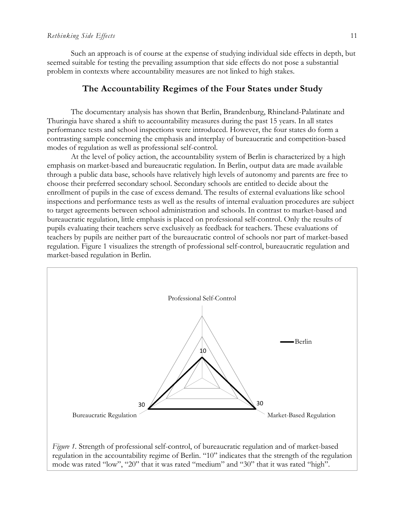Such an approach is of course at the expense of studying individual side effects in depth, but seemed suitable for testing the prevailing assumption that side effects do not pose a substantial problem in contexts where accountability measures are not linked to high stakes.

## **The Accountability Regimes of the Four States under Study**

The documentary analysis has shown that Berlin, Brandenburg, Rhineland-Palatinate and Thuringia have shared a shift to accountability measures during the past 15 years. In all states performance tests and school inspections were introduced. However, the four states do form a contrasting sample concerning the emphasis and interplay of bureaucratic and competition-based modes of regulation as well as professional self-control.

At the level of policy action, the accountability system of Berlin is characterized by a high emphasis on market-based and bureaucratic regulation. In Berlin, output data are made available through a public data base, schools have relatively high levels of autonomy and parents are free to choose their preferred secondary school. Secondary schools are entitled to decide about the enrollment of pupils in the case of excess demand. The results of external evaluations like school inspections and performance tests as well as the results of internal evaluation procedures are subject to target agreements between school administration and schools. In contrast to market-based and bureaucratic regulation, little emphasis is placed on professional self-control. Only the results of pupils evaluating their teachers serve exclusively as feedback for teachers. These evaluations of teachers by pupils are neither part of the bureaucratic control of schools nor part of market-based regulation. Figure 1 visualizes the strength of professional self-control, bureaucratic regulation and market-based regulation in Berlin.



regulation in the accountability regime of Berlin. "10" indicates that the strength of the regulation mode was rated "low", "20" that it was rated "medium" and "30" that it was rated "high".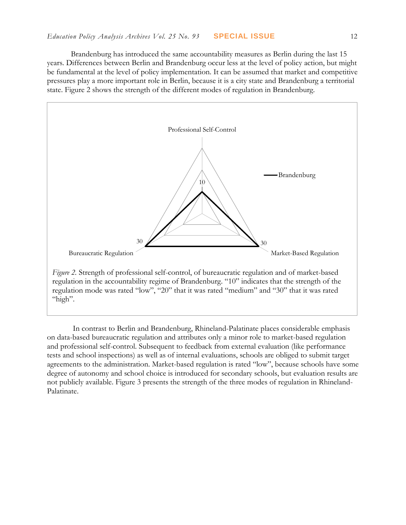Brandenburg has introduced the same accountability measures as Berlin during the last 15 years. Differences between Berlin and Brandenburg occur less at the level of policy action, but might be fundamental at the level of policy implementation. It can be assumed that market and competitive pressures play a more important role in Berlin, because it is a city state and Brandenburg a territorial state. Figure 2 shows the strength of the different modes of regulation in Brandenburg.



regulation in the accountability regime of Brandenburg. "10" indicates that the strength of the regulation mode was rated "low", "20" that it was rated "medium" and "30" that it was rated "high".

In contrast to Berlin and Brandenburg, Rhineland-Palatinate places considerable emphasis on data-based bureaucratic regulation and attributes only a minor role to market-based regulation and professional self-control. Subsequent to feedback from external evaluation (like performance tests and school inspections) as well as of internal evaluations, schools are obliged to submit target agreements to the administration. Market-based regulation is rated "low", because schools have some degree of autonomy and school choice is introduced for secondary schools, but evaluation results are not publicly available. Figure 3 presents the strength of the three modes of regulation in Rhineland-Palatinate.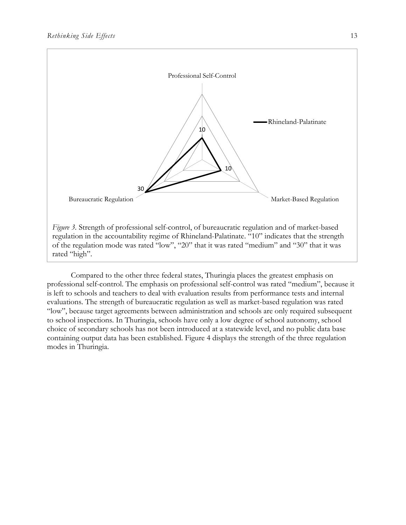

Compared to the other three federal states, Thuringia places the greatest emphasis on professional self-control. The emphasis on professional self-control was rated "medium", because it is left to schools and teachers to deal with evaluation results from performance tests and internal evaluations. The strength of bureaucratic regulation as well as market-based regulation was rated "low", because target agreements between administration and schools are only required subsequent to school inspections. In Thuringia, schools have only a low degree of school autonomy, school choice of secondary schools has not been introduced at a statewide level, and no public data base containing output data has been established. Figure 4 displays the strength of the three regulation modes in Thuringia.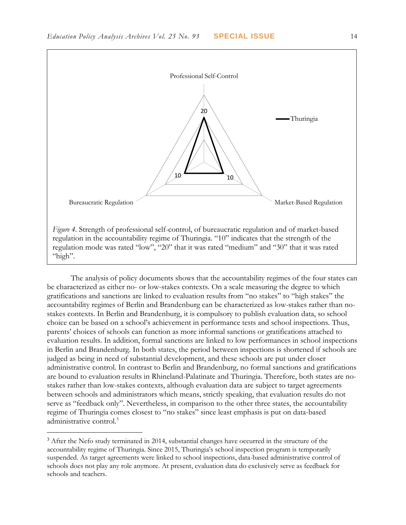

The analysis of policy documents shows that the accountability regimes of the four states can be characterized as either no- or low-stakes contexts. On a scale measuring the degree to which gratifications and sanctions are linked to evaluation results from "no stakes" to "high stakes" the accountability regimes of Berlin and Brandenburg can be characterized as low-stakes rather than nostakes contexts. In Berlin and Brandenburg, it is compulsory to publish evaluation data, so school choice can be based on a school's achievement in performance tests and school inspections. Thus, parents' choices of schools can function as more informal sanctions or gratifications attached to evaluation results. In addition, formal sanctions are linked to low performances in school inspections in Berlin and Brandenburg. In both states, the period between inspections is shortened if schools are judged as being in need of substantial development, and these schools are put under closer administrative control. In contrast to Berlin and Brandenburg, no formal sanctions and gratifications are bound to evaluation results in Rhineland-Palatinate and Thuringia. Therefore, both states are nostakes rather than low-stakes contexts, although evaluation data are subject to target agreements between schools and administrators which means, strictly speaking, that evaluation results do not serve as "feedback only". Nevertheless, in comparison to the other three states, the accountability regime of Thuringia comes closest to "no stakes" since least emphasis is put on data-based administrative control. 3

 $\overline{a}$ 

<sup>&</sup>lt;sup>3</sup> After the Nefo study terminated in 2014, substantial changes have occurred in the structure of the accountability regime of Thuringia. Since 2015, Thuringia's school inspection program is temporarily suspended. As target agreements were linked to school inspections, data-based administrative control of schools does not play any role anymore. At present, evaluation data do exclusively serve as feedback for schools and teachers.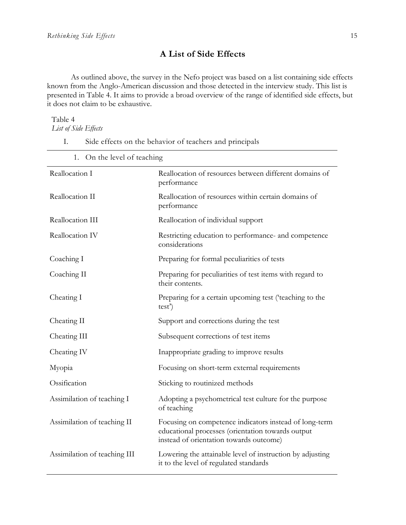# **A List of Side Effects**

As outlined above, the survey in the Nefo project was based on a list containing side effects known from the Anglo-American discussion and those detected in the interview study. This list is presented in Table 4. It aims to provide a broad overview of the range of identified side effects, but it does not claim to be exhaustive.

## Table 4

*List of Side Effects*

- I. Side effects on the behavior of teachers and principals
	- 1. On the level of teaching

| Reallocation I               | Reallocation of resources between different domains of<br>performance                                                                                  |
|------------------------------|--------------------------------------------------------------------------------------------------------------------------------------------------------|
| Reallocation II              | Reallocation of resources within certain domains of<br>performance                                                                                     |
| Reallocation III             | Reallocation of individual support                                                                                                                     |
| Reallocation IV              | Restricting education to performance- and competence<br>considerations                                                                                 |
| Coaching I                   | Preparing for formal peculiarities of tests                                                                                                            |
| Coaching II                  | Preparing for peculiarities of test items with regard to<br>their contents.                                                                            |
| Cheating I                   | Preparing for a certain upcoming test ('teaching to the<br>test'                                                                                       |
| Cheating II                  | Support and corrections during the test                                                                                                                |
| Cheating III                 | Subsequent corrections of test items                                                                                                                   |
| Cheating IV                  | Inappropriate grading to improve results                                                                                                               |
| Myopia                       | Focusing on short-term external requirements                                                                                                           |
| Ossification                 | Sticking to routinized methods                                                                                                                         |
| Assimilation of teaching I   | Adopting a psychometrical test culture for the purpose<br>of teaching                                                                                  |
| Assimilation of teaching II  | Focusing on competence indicators instead of long-term<br>educational processes (orientation towards output<br>instead of orientation towards outcome) |
| Assimilation of teaching III | Lowering the attainable level of instruction by adjusting<br>it to the level of regulated standards                                                    |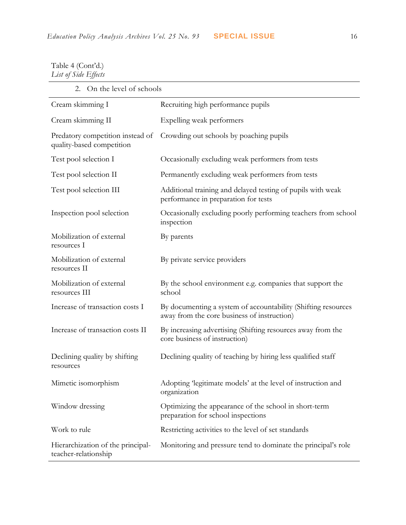## Table 4 (Cont'd.) *List of Side Effects*

2. On the level of schools

| Cream skimming I                                              | Recruiting high performance pupils                                                                           |
|---------------------------------------------------------------|--------------------------------------------------------------------------------------------------------------|
| Cream skimming II                                             | Expelling weak performers                                                                                    |
| Predatory competition instead of<br>quality-based competition | Crowding out schools by poaching pupils                                                                      |
| Test pool selection I                                         | Occasionally excluding weak performers from tests                                                            |
| Test pool selection II                                        | Permanently excluding weak performers from tests                                                             |
| Test pool selection III                                       | Additional training and delayed testing of pupils with weak<br>performance in preparation for tests          |
| Inspection pool selection                                     | Occasionally excluding poorly performing teachers from school<br>inspection                                  |
| Mobilization of external<br>resources I                       | By parents                                                                                                   |
| Mobilization of external<br>resources II                      | By private service providers                                                                                 |
| Mobilization of external<br>resources III                     | By the school environment e.g. companies that support the<br>school                                          |
| Increase of transaction costs I                               | By documenting a system of accountability (Shifting resources<br>away from the core business of instruction) |
| Increase of transaction costs II                              | By increasing advertising (Shifting resources away from the<br>core business of instruction)                 |
| Declining quality by shifting<br>resources                    | Declining quality of teaching by hiring less qualified staff                                                 |
| Mimetic isomorphism                                           | Adopting 'legitimate models' at the level of instruction and<br>organization                                 |
| Window dressing                                               | Optimizing the appearance of the school in short-term<br>preparation for school inspections                  |
| Work to rule                                                  | Restricting activities to the level of set standards                                                         |
| Hierarchization of the principal-<br>teacher-relationship     | Monitoring and pressure tend to dominate the principal's role                                                |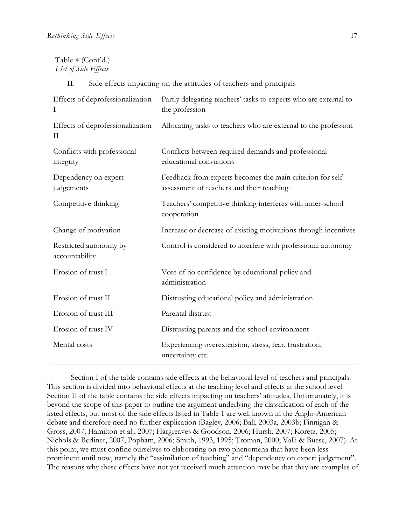## Table 4 (Cont'd.) *List of Side Effects*

II. Side effects impacting on the attitudes of teachers and principals

| Effects of deprofessionalization<br>$\bf{I}$ | Partly delegating teachers' tasks to experts who are external to<br>the profession                      |
|----------------------------------------------|---------------------------------------------------------------------------------------------------------|
| Effects of deprofessionalization<br>П        | Allocating tasks to teachers who are external to the profession                                         |
| Conflicts with professional<br>integrity     | Conflicts between required demands and professional<br>educational convictions                          |
| Dependency on expert<br>judgements           | Feedback from experts becomes the main criterion for self-<br>assessment of teachers and their teaching |
| Competitive thinking                         | Teachers' competitive thinking interferes with inner-school<br>cooperation                              |
| Change of motivation                         | Increase or decrease of existing motivations through incentives                                         |
| Restricted autonomy by<br>accountability     | Control is considered to interfere with professional autonomy                                           |
| Erosion of trust I                           | Vote of no confidence by educational policy and<br>administration                                       |
| Erosion of trust II                          | Distrusting educational policy and administration                                                       |
| Erosion of trust III                         | Parental distrust                                                                                       |
| Erosion of trust IV                          | Distrusting parents and the school environment                                                          |
| Mental costs                                 | Experiencing overextension, stress, fear, frustration,<br>uncertainty etc.                              |

Section I of the table contains side effects at the behavioral level of teachers and principals. This section is divided into behavioral effects at the teaching level and effects at the school level. Section II of the table contains the side effects impacting on teachers' attitudes. Unfortunately, it is beyond the scope of this paper to outline the argument underlying the classification of each of the listed effects, but most of the side effects listed in Table 1 are well known in the Anglo-American debate and therefore need no further explication (Bagley, 2006; Ball, 2003a, 2003b; Finnigan & Gross, 2007; Hamilton et al., 2007; Hargreaves & Goodson, 2006; Hursh, 2007; Koretz, 2005; Nichols & Berliner, 2007; Popham, 2006; Smith, 1993, 1995; Troman, 2000; Valli & Buese, 2007). At this point, we must confine ourselves to elaborating on two phenomena that have been less prominent until now, namely the "assimilation of teaching" and "dependency on expert judgement". The reasons why these effects have not yet received much attention may be that they are examples of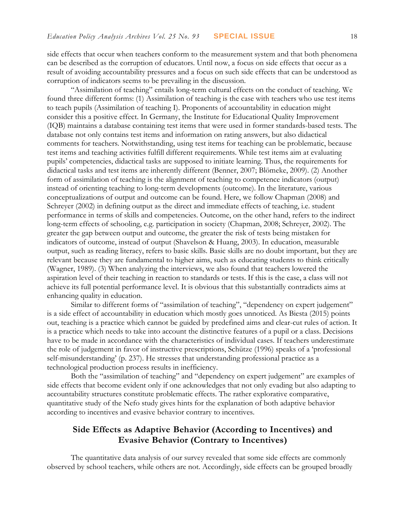side effects that occur when teachers conform to the measurement system and that both phenomena can be described as the corruption of educators. Until now, a focus on side effects that occur as a result of avoiding accountability pressures and a focus on such side effects that can be understood as corruption of indicators seems to be prevailing in the discussion.

"Assimilation of teaching" entails long-term cultural effects on the conduct of teaching. We found three different forms: (1) Assimilation of teaching is the case with teachers who use test items to teach pupils (Assimilation of teaching I). Proponents of accountability in education might consider this a positive effect. In Germany, the Institute for Educational Quality Improvement (IQB) maintains a database containing test items that were used in former standards-based tests. The database not only contains test items and information on rating answers, but also didactical comments for teachers. Notwithstanding, using test items for teaching can be problematic, because test items and teaching activities fulfill different requirements. While test items aim at evaluating pupils' competencies, didactical tasks are supposed to initiate learning. Thus, the requirements for didactical tasks and test items are inherently different (Benner, 2007; Blömeke, 2009). (2) Another form of assimilation of teaching is the alignment of teaching to competence indicators (output) instead of orienting teaching to long-term developments (outcome). In the literature, various conceptualizations of output and outcome can be found. Here, we follow Chapman (2008) and Schreyer (2002) in defining output as the direct and immediate effects of teaching, i.e. student performance in terms of skills and competencies. Outcome, on the other hand, refers to the indirect long-term effects of schooling, e.g. participation in society (Chapman, 2008; Schreyer, 2002). The greater the gap between output and outcome, the greater the risk of tests being mistaken for indicators of outcome, instead of output (Shavelson & Huang, 2003). In education, measurable output, such as reading literacy, refers to basic skills. Basic skills are no doubt important, but they are relevant because they are fundamental to higher aims, such as educating students to think critically (Wagner, 1989). (3) When analyzing the interviews, we also found that teachers lowered the aspiration level of their teaching in reaction to standards or tests. If this is the case, a class will not achieve its full potential performance level. It is obvious that this substantially contradicts aims at enhancing quality in education.

Similar to different forms of "assimilation of teaching", "dependency on expert judgement" is a side effect of accountability in education which mostly goes unnoticed. As Biesta (2015) points out, teaching is a practice which cannot be guided by predefined aims and clear-cut rules of action. It is a practice which needs to take into account the distinctive features of a pupil or a class. Decisions have to be made in accordance with the characteristics of individual cases. If teachers underestimate the role of judgement in favor of instructive prescriptions, Schütze (1996) speaks of a 'professional self-misunderstanding' (p. 237). He stresses that understanding professional practice as a technological production process results in inefficiency.

Both the "assimilation of teaching" and "dependency on expert judgement" are examples of side effects that become evident only if one acknowledges that not only evading but also adapting to accountability structures constitute problematic effects. The rather explorative comparative, quantitative study of the Nefo study gives hints for the explanation of both adaptive behavior according to incentives and evasive behavior contrary to incentives.

# **Side Effects as Adaptive Behavior (According to Incentives) and Evasive Behavior (Contrary to Incentives)**

The quantitative data analysis of our survey revealed that some side effects are commonly observed by school teachers, while others are not. Accordingly, side effects can be grouped broadly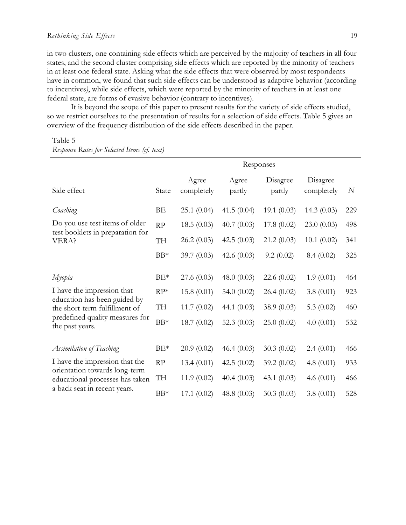in two clusters, one containing side effects which are perceived by the majority of teachers in all four states, and the second cluster comprising side effects which are reported by the minority of teachers in at least one federal state. Asking what the side effects that were observed by most respondents have in common, we found that such side effects can be understood as adaptive behavior (according to incentives*)*, while side effects, which were reported by the minority of teachers in at least one federal state, are forms of evasive behavior (contrary to incentives).

It is beyond the scope of this paper to present results for the variety of side effects studied, so we restrict ourselves to the presentation of results for a selection of side effects. Table 5 gives an overview of the frequency distribution of the side effects described in the paper.

|                                                                    | Responses     |                     |                 |                    |                        |     |
|--------------------------------------------------------------------|---------------|---------------------|-----------------|--------------------|------------------------|-----|
| Side effect                                                        | State         | Agree<br>completely | Agree<br>partly | Disagree<br>partly | Disagree<br>completely | N   |
| Coaching                                                           | BE            | 25.1(0.04)          | 41.5 $(0.04)$   | 19.1(0.03)         | 14.3 $(0.03)$          | 229 |
| Do you use test items of older<br>test booklets in preparation for | $\mathbf{RP}$ | 18.5(0.03)          | 40.7(0.03)      | 17.8(0.02)         | 23.0(0.03)             | 498 |
| VERA?                                                              | TH            | 26.2(0.03)          | 42.5 $(0.03)$   | 21.2(0.03)         | 10.1(0.02)             | 341 |
|                                                                    | $\rm BB^*$    | 39.7 $(0.03)$       | 42.6 $(0.03)$   | 9.2(0.02)          | 8.4(0.02)              | 325 |
| Myopia                                                             | $BE*$         | 27.6(0.03)          | 48.0 $(0.03)$   | 22.6 $(0.02)$      | 1.9(0.01)              | 464 |
| I have the impression that                                         | $RP*$         | 15.8(0.01)          | 54.0 (0.02)     | 26.4(0.02)         | 3.8(0.01)              | 923 |
| education has been guided by<br>the short-term fulfillment of      | TH            | 11.7(0.02)          | 44.1 $(0.03)$   | 38.9 $(0.03)$      | 5.3 $(0.02)$           | 460 |
| predefined quality measures for<br>the past years.                 | $\rm BB^*$    | 18.7(0.02)          | 52.3 $(0.03)$   | 25.0(0.02)         | 4.0(0.01)              | 532 |
|                                                                    |               |                     |                 |                    |                        |     |
| Assimilation of Teaching                                           | $BE*$         | 20.9(0.02)          | 46.4 $(0.03)$   | 30.3(0.02)         | 2.4(0.01)              | 466 |
| I have the impression that the<br>orientation towards long-term    | $\mathbf{RP}$ | 13.4(0.01)          | 42.5 $(0.02)$   | 39.2 (0.02)        | 4.8 $(0.01)$           | 933 |
| educational processes has taken                                    | TH            | 11.9(0.02)          | 40.4(0.03)      | 43.1 $(0.03)$      | 4.6 $(0.01)$           | 466 |
| a back seat in recent years.                                       | $BB*$         | 17.1(0.02)          | 48.8 (0.03)     | 30.3(0.03)         | 3.8(0.01)              | 528 |

Table 5 *Response Rates for Selected Items (cf. text)*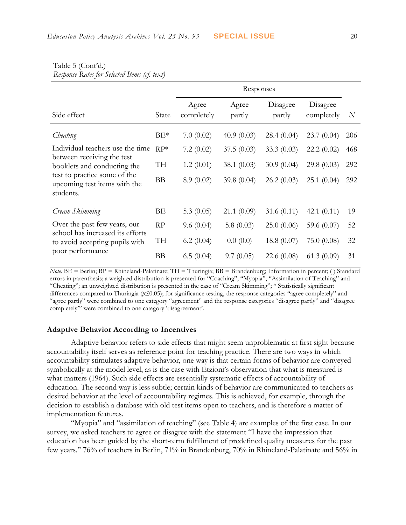|                                                                                                    | Responses |                     |                 |                    |                        |                  |
|----------------------------------------------------------------------------------------------------|-----------|---------------------|-----------------|--------------------|------------------------|------------------|
| Side effect                                                                                        | State     | Agree<br>completely | Agree<br>partly | Disagree<br>partly | Disagree<br>completely | $\boldsymbol{N}$ |
| Cheating                                                                                           | $BE*$     | 7.0(0.02)           | 40.9(0.03)      | 28.4(0.04)         | 23.7(0.04)             | 206              |
| Individual teachers use the time                                                                   | $RP*$     | 7.2(0.02)           | 37.5(0.03)      | 33.3 $(0.03)$      | 22.2(0.02)             | 468              |
| between receiving the test<br>booklets and conducting the                                          | TH        | 1.2(0.01)           | 38.1 $(0.03)$   | 30.9(0.04)         | 29.8(0.03)             | 292              |
| test to practice some of the<br>upcoming test items with the<br>students.                          | <b>BB</b> | 8.9(0.02)           | 39.8 $(0.04)$   | 26.2(0.03)         | 25.1(0.04)             | 292              |
| Cream Skimming                                                                                     | ΒE        | 5.3 $(0.05)$        | 21.1(0.09)      | 31.6 $(0.11)$      | 42.1 $(0.11)$          | 19               |
| Over the past few years, our<br>school has increased its efforts<br>to avoid accepting pupils with | RP        | 9.6(0.04)           | 5.8 $(0.03)$    | 25.0(0.06)         | 59.6 $(0.07)$          | 52               |
|                                                                                                    | TH        | 6.2(0.04)           | 0.0(0.0)        | 18.8(0.07)         | 75.0(0.08)             | 32               |
| poor performance                                                                                   | <b>BB</b> | 6.5(0.04)           | 9.7(0.05)       | 22.6(0.08)         | 61.3(0.09)             | 31               |

#### Table 5 (Cont'd.) *Response Rates for Selected Items (cf. text)*

*Note*. BE = Berlin; RP = Rhineland-Palatinate; TH = Thuringia; BB = Brandenburg; Information in percent; () Standard errors in parenthesis; a weighted distribution is presented for "Coaching", "Myopia", "Assimilation of Teaching" and "Cheating"; an unweighted distribution is presented in the case of "Cream Skimming"; \* Statistically significant differences compared to Thuringia (*p*≤0.05); for significance testing, the response categories "agree completely" and "agree partly" were combined to one category "agreement" and the response categories "disagree partly" and "disagree completely'" were combined to one category 'disagreement'.

### **Adaptive Behavior According to Incentives**

Adaptive behavior refers to side effects that might seem unproblematic at first sight because accountability itself serves as reference point for teaching practice. There are two ways in which accountability stimulates adaptive behavior, one way is that certain forms of behavior are conveyed symbolically at the model level, as is the case with Etzioni's observation that what is measured is what matters (1964). Such side effects are essentially systematic effects of accountability of education. The second way is less subtle; certain kinds of behavior are communicated to teachers as desired behavior at the level of accountability regimes. This is achieved, for example, through the decision to establish a database with old test items open to teachers, and is therefore a matter of implementation features.

"Myopia" and "assimilation of teaching" (see Table 4) are examples of the first case. In our survey, we asked teachers to agree or disagree with the statement "I have the impression that education has been guided by the short-term fulfillment of predefined quality measures for the past few years." 76% of teachers in Berlin, 71% in Brandenburg, 70% in Rhineland-Palatinate and 56% in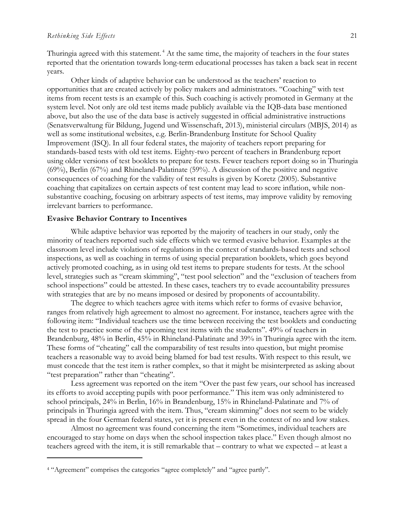Thuringia agreed with this statement.<sup>4</sup> At the same time, the majority of teachers in the four states reported that the orientation towards long-term educational processes has taken a back seat in recent years.

Other kinds of adaptive behavior can be understood as the teachers' reaction to opportunities that are created actively by policy makers and administrators. "Coaching" with test items from recent tests is an example of this. Such coaching is actively promoted in Germany at the system level. Not only are old test items made publicly available via the IQB-data base mentioned above, but also the use of the data base is actively suggested in official administrative instructions (Senatsverwaltung für Bildung, Jugend und Wissenschaft, 2013), ministerial circulars (MBJS, 2014) as well as some institutional websites, e.g. Berlin-Brandenburg Institute for School Quality Improvement (ISQ). In all four federal states, the majority of teachers report preparing for standards-based tests with old test items. Eighty-two percent of teachers in Brandenburg report using older versions of test booklets to prepare for tests. Fewer teachers report doing so in Thuringia (69%), Berlin (67%) and Rhineland-Palatinate (59%). A discussion of the positive and negative consequences of coaching for the validity of test results is given by Koretz (2005). Substantive coaching that capitalizes on certain aspects of test content may lead to score inflation, while nonsubstantive coaching, focusing on arbitrary aspects of test items, may improve validity by removing irrelevant barriers to performance.

## **Evasive Behavior Contrary to Incentives**

While adaptive behavior was reported by the majority of teachers in our study, only the minority of teachers reported such side effects which we termed evasive behavior. Examples at the classroom level include violations of regulations in the context of standards-based tests and school inspections, as well as coaching in terms of using special preparation booklets, which goes beyond actively promoted coaching, as in using old test items to prepare students for tests. At the school level, strategies such as "cream skimming", "test pool selection" and the "exclusion of teachers from school inspections" could be attested. In these cases, teachers try to evade accountability pressures with strategies that are by no means imposed or desired by proponents of accountability.

The degree to which teachers agree with items which refer to forms of evasive behavior, ranges from relatively high agreement to almost no agreement. For instance, teachers agree with the following item: "Individual teachers use the time between receiving the test booklets and conducting the test to practice some of the upcoming test items with the students". 49% of teachers in Brandenburg, 48% in Berlin, 45% in Rhineland-Palatinate and 39% in Thuringia agree with the item. These forms of "cheating" call the comparability of test results into question, but might promise teachers a reasonable way to avoid being blamed for bad test results. With respect to this result, we must concede that the test item is rather complex, so that it might be misinterpreted as asking about "test preparation" rather than "cheating".

Less agreement was reported on the item "Over the past few years, our school has increased its efforts to avoid accepting pupils with poor performance." This item was only administered to school principals, 24% in Berlin, 16% in Brandenburg, 15% in Rhineland-Palatinate and 7% of principals in Thuringia agreed with the item. Thus, "cream skimming" does not seem to be widely spread in the four German federal states, yet it is present even in the context of no and low stakes.

Almost no agreement was found concerning the item "Sometimes, individual teachers are encouraged to stay home on days when the school inspection takes place." Even though almost no teachers agreed with the item, it is still remarkable that – contrary to what we expected – at least a

 $\overline{a}$ 

<sup>4</sup> "Agreement" comprises the categories "agree completely" and "agree partly".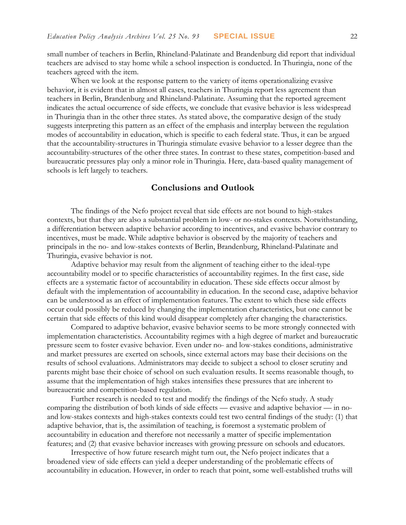small number of teachers in Berlin, Rhineland-Palatinate and Brandenburg did report that individual teachers are advised to stay home while a school inspection is conducted. In Thuringia, none of the teachers agreed with the item.

When we look at the response pattern to the variety of items operationalizing evasive behavior, it is evident that in almost all cases, teachers in Thuringia report less agreement than teachers in Berlin, Brandenburg and Rhineland-Palatinate. Assuming that the reported agreement indicates the actual occurrence of side effects, we conclude that evasive behavior is less widespread in Thuringia than in the other three states. As stated above, the comparative design of the study suggests interpreting this pattern as an effect of the emphasis and interplay between the regulation modes of accountability in education, which is specific to each federal state. Thus, it can be argued that the accountability-structures in Thuringia stimulate evasive behavior to a lesser degree than the accountability-structures of the other three states. In contrast to these states, competition-based and bureaucratic pressures play only a minor role in Thuringia. Here, data-based quality management of schools is left largely to teachers.

## **Conclusions and Outlook**

The findings of the Nefo project reveal that side effects are not bound to high-stakes contexts, but that they are also a substantial problem in low- or no-stakes contexts. Notwithstanding, a differentiation between adaptive behavior according to incentives, and evasive behavior contrary to incentives, must be made. While adaptive behavior is observed by the majority of teachers and principals in the no- and low-stakes contexts of Berlin, Brandenburg, Rhineland-Palatinate and Thuringia, evasive behavior is not.

Adaptive behavior may result from the alignment of teaching either to the ideal-type accountability model or to specific characteristics of accountability regimes. In the first case, side effects are a systematic factor of accountability in education. These side effects occur almost by default with the implementation of accountability in education. In the second case, adaptive behavior can be understood as an effect of implementation features. The extent to which these side effects occur could possibly be reduced by changing the implementation characteristics, but one cannot be certain that side effects of this kind would disappear completely after changing the characteristics.

Compared to adaptive behavior, evasive behavior seems to be more strongly connected with implementation characteristics. Accountability regimes with a high degree of market and bureaucratic pressure seem to foster evasive behavior. Even under no- and low-stakes conditions, administrative and market pressures are exerted on schools, since external actors may base their decisions on the results of school evaluations. Administrators may decide to subject a school to closer scrutiny and parents might base their choice of school on such evaluation results. It seems reasonable though, to assume that the implementation of high stakes intensifies these pressures that are inherent to bureaucratic and competition-based regulation.

Further research is needed to test and modify the findings of the Nefo study. A study comparing the distribution of both kinds of side effects — evasive and adaptive behavior — in noand low-stakes contexts and high-stakes contexts could test two central findings of the study: (1) that adaptive behavior, that is, the assimilation of teaching, is foremost a systematic problem of accountability in education and therefore not necessarily a matter of specific implementation features; and (2) that evasive behavior increases with growing pressure on schools and educators.

Irrespective of how future research might turn out, the Nefo project indicates that a broadened view of side effects can yield a deeper understanding of the problematic effects of accountability in education. However, in order to reach that point, some well-established truths will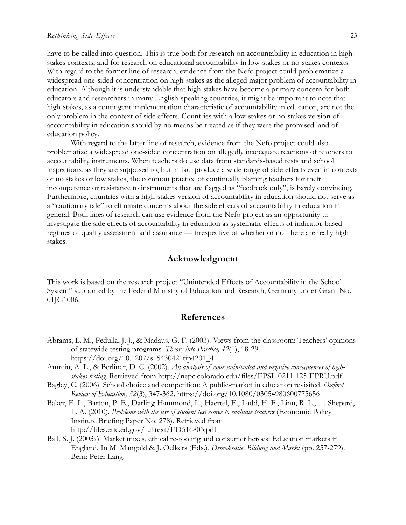#### *Rethinking Side Effects* 23

have to be called into question. This is true both for research on accountability in education in highstakes contexts, and for research on educational accountability in low-stakes or no-stakes contexts. With regard to the former line of research, evidence from the Nefo project could problematize a widespread one-sided concentration on high stakes as the alleged major problem of accountability in education. Although it is understandable that high stakes have become a primary concern for both educators and researchers in many English-speaking countries, it might be important to note that high stakes, as a contingent implementation characteristic of accountability in education, are not the only problem in the context of side effects. Countries with a low-stakes or no-stakes version of accountability in education should by no means be treated as if they were the promised land of education policy.

With regard to the latter line of research, evidence from the Nefo project could also problematize a widespread one-sided concentration on allegedly inadequate reactions of teachers to accountability instruments. When teachers do use data from standards-based tests and school inspections, as they are supposed to, but in fact produce a wide range of side effects even in contexts of no stakes or low stakes, the common practice of continually blaming teachers for their incompetence or resistance to instruments that are flagged as "feedback only", is barely convincing. Furthermore, countries with a high-stakes version of accountability in education should not serve as a "cautionary tale" to eliminate concerns about the side effects of accountability in education in general. Both lines of research can use evidence from the Nefo project as an opportunity to investigate the side effects of accountability in education as systematic effects of indicator-based regimes of quality assessment and assurance — irrespective of whether or not there are really high stakes.

## **Acknowledgment**

This work is based on the research project "Unintended Effects of Accountability in the School System" supported by the Federal Ministry of Education and Research, Germany under Grant No. 01JG1006.

## **References**

- Abrams, L. M., Pedulla, J. J., & Madaus, G. F. (2003). Views from the classroom: Teachers' opinions of statewide testing programs. *Theory into Practice, 42*(1), 18-29. https://doi.org/10.1207/s15430421tip4201\_4
- Amrein, A. L., & Berliner, D. C. (2002). *An analysis of some unintended and negative consequences of highstakes testing*. Retrieved from http://nepc.colorado.edu/files/EPSL-0211-125-EPRU.pdf
- Bagley, C. (2006). School choice and competition: A public-market in education revisited. *Oxford Review of Education, 32*(3), 347-362. https://doi.org/10.1080/03054980600775656
- Baker, E. L., Barton, P. E., Darling-Hammond, L., Haertel, E., Ladd, H. F., Linn, R. L., … Shepard, L. A. (2010). *Problems with the use of student test scores to evaluate teachers* (Economic Policy Institute Briefing Paper No. 278). Retrieved from http://files.eric.ed.gov/fulltext/ED516803.pdf
- Ball, S. J. (2003a). Market mixes, ethical re-tooling and consumer heroes: Education markets in England. In M. Mangold & J. Oelkers (Eds.), *Demokratie, Bildung und Markt* (pp. 257-279). Bern: Peter Lang.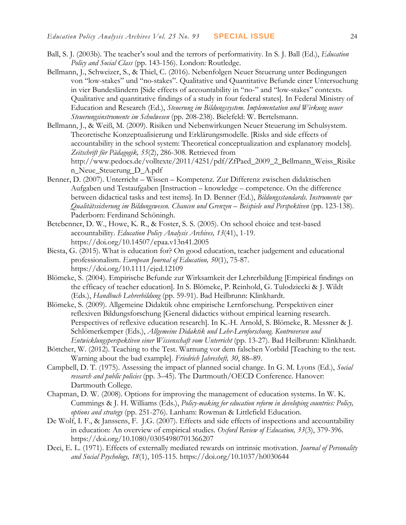- Ball, S. J. (2003b). The teacher's soul and the terrors of performativity. In S. J. Ball (Ed.), *Education Policy and Social Class* (pp. 143-156). London: Routledge.
- Bellmann, J., Schweizer, S., & Thiel, C. (2016). Nebenfolgen Neuer Steuerung unter Bedingungen von "low-stakes" und "no-stakes". Qualitative und Quantitative Befunde einer Untersuchung in vier Bundesländern [Side effects of accountability in "no-" and "low-stakes" contexts. Qualitative and quantitative findings of a study in four federal states]. In Federal Ministry of Education and Research (Ed.), *Steuerung im Bildungssystem. Implementation und Wirkung neuer Steuerungsinstrumente im Schulwesen* (pp. 208-238). Bielefeld: W. Bertelsmann.
- Bellmann, J., & Weiß, M. (2009). Risiken und Nebenwirkungen Neuer Steuerung im Schulsystem. Theoretische Konzeptualisierung und Erklärungsmodelle. [Risks and side effects of accountability in the school system: Theoretical conceptualization and explanatory models]. *Zeitschrift für Pädagogik, 55*(2), 286-308. Retrieved from http://www.pedocs.de/volltexte/2011/4251/pdf/ZfPaed\_2009\_2\_Bellmann\_Weiss\_Risike n\_Neue\_Steuerung\_D\_A.pdf
- Benner, D. (2007). Unterricht Wissen Kompetenz. Zur Differenz zwischen didaktischen Aufgaben und Testaufgaben [Instruction – knowledge – competence. On the difference between didactical tasks and test items]. In D. Benner (Ed.), *Bildungsstandards. Instrumente zur Qualitätssicherung im Bildungswesen. Chancen und Grenzen – Beispiele und Perspektiven* (pp. 123-138). Paderborn: Ferdinand Schöningh.
- Betebenner, D. W., Howe, K. R., & Foster, S. S. (2005). On school choice and test-based accountability. *Education Policy Analysis Archives, 13*(41), 1-19. https://doi.org/10.14507/epaa.v13n41.2005
- Biesta, G. (2015). What is education for? On good education, teacher judgement and educational professionalism. *European Journal of Education, 50*(1), 75-87. https://doi.org/10.1111/ejed.12109
- Blömeke, S. (2004). Empirische Befunde zur Wirksamkeit der Lehrerbildung [Empirical findings on the efficacy of teacher education]. In S. Blömeke, P. Reinhold, G. Tulodziecki & J. Wildt (Eds.), *Handbuch Lehrerbildung* (pp. 59-91). Bad Heilbrunn: Klinkhardt.
- Blömeke, S. (2009). Allgemeine Didaktik ohne empirische Lernforschung. Perspektiven einer reflexiven Bildungsforschung [General didactics without empirical learning research. Perspectives of reflexive education research]. In K.-H. Arnold, S. Blömeke, R. Messner & J. Schlömerkemper (Eds.), *Allgemeine Didaktik und Lehr-Lernforschung. Kontroversen und Entwicklungsperspektiven einer Wissenschaft vom Unterricht* (pp. 13-27). Bad Heilbrunn: Klinkhardt.
- Böttcher, W. (2012). Teaching to the Test. Warnung vor dem falschen Vorbild [Teaching to the test. Warning about the bad example]. *Friedrich Jahresheft, 30*, 88–89.
- Campbell, D. T. (1975). Assessing the impact of planned social change. In G. M. Lyons (Ed.), *Social research and public policies* (pp. 3–45). The Dartmouth/OECD Conference. Hanover: Dartmouth College.
- Chapman, D. W. (2008). Options for improving the management of education systems. In W. K. Cummings & J. H. Williams (Eds.), *Policy-making for education reform in developing countries: Policy, options and strategy* (pp. 251-276). Lanham: Rowman & Littlefield Education.
- De Wolf, I. F., & Janssens, F. J.G. (2007). Effects and side effects of inspections and accountability in education: An overview of empirical studies. *Oxford Review of Education, 33*(3), 379-396. https://doi.org/10.1080/03054980701366207
- Deci, E. L. (1971). Effects of externally mediated rewards on intrinsic motivation. *Journal of Personality and Social Psychology, 18*(1), 105-115. https://doi.org/10.1037/h0030644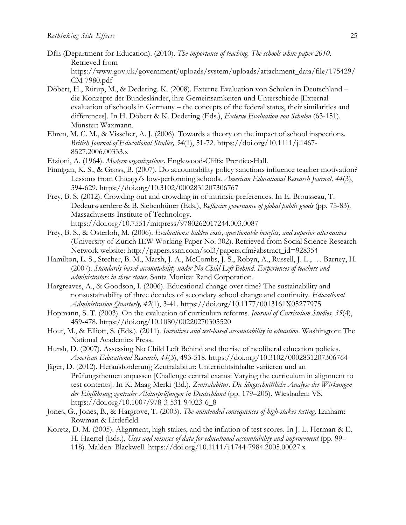- DfE (Department for Education). (2010). *The importance of teaching. The schools white paper 2010*. Retrieved from [https://www.gov.uk/government/uploads/system/uploads/attachment\\_data/file/175429/](https://www.gov.uk/government/uploads/system/uploads/attachment_data/file/175429/CM-7980.pdf) [CM-7980.pdf](https://www.gov.uk/government/uploads/system/uploads/attachment_data/file/175429/CM-7980.pdf)
- Döbert, H., Rürup, M., & Dedering. K. (2008). Externe Evaluation von Schulen in Deutschland die Konzepte der Bundesländer, ihre Gemeinsamkeiten und Unterschiede [External evaluation of schools in Germany – the concepts of the federal states, their similarities and differences]. In H. Döbert & K. Dedering (Eds.), *Externe Evaluation von Schulen* (63-151). Münster: Waxmann.
- Ehren, M. C. M., & Visscher, A. J. (2006). Towards a theory on the impact of school inspections. *British Journal of Educational Studies, 54*(1), 51-72. https://doi.org/10.1111/j.1467- 8527.2006.00333.x
- Etzioni, A. (1964). *Modern organizations*. Englewood-Cliffs: Prentice-Hall.
- Finnigan, K. S., & Gross, B. (2007). Do accountability policy sanctions influence teacher motivation? Lessons from Chicago's low-performing schools. *American Educational Research Journal, 44*(3), 594-629. https://doi.org/10.3102/0002831207306767
- Frey, B. S. (2012). Crowding out and crowding in of intrinsic preferences. In E. Brousseau, T. Dedeurwaerdere & B. Siebenhüner (Eds.), *Reflexive governance of global public goods* (pp. 75-83). Massachusetts Institute of Technology. https://doi.org/10.7551/mitpress/9780262017244.003.0087
- Frey, B. S., & Osterloh, M. (2006). *Evaluations: hidden costs, questionable benefits, and superior alternatives*  (University of Zurich IEW Working Paper No. 302). Retrieved from Social Science Research Network website: http://papers.ssrn.com/sol3/papers.cfm?abstract\_id=928354
- Hamilton, L. S., Stecher, B. M., Marsh, J. A., McCombs, J. S., Robyn, A., Russell, J. L., … Barney, H. (2007). *Standards-based accountability under No Child Left Behind. Experiences of teachers and administrators in three states*. Santa Monica: Rand Corporation.
- Hargreaves, A., & Goodson, I. (2006). Educational change over time? The sustainability and nonsustainability of three decades of secondary school change and continuity. *Educational Administration Quarterly, 42*(1), 3-41. https://doi.org/10.1177/0013161X05277975
- Hopmann, S. T. (2003). On the evaluation of curriculum reforms. *Journal of Curriculum Studies, 35*(4), 459-478. https://doi.org/10.1080/00220270305520
- Hout, M., & Elliott, S. (Eds.). (2011). *Incentives and test-based accountability in education*. Washington: The National Academies Press.
- Hursh, D. (2007). Assessing No Child Left Behind and the rise of neoliberal education policies. *American Educational Research, 44*(3), 493-518. https://doi.org/10.3102/0002831207306764
- Jäger, D. (2012). Herausforderung Zentralabitur: Unterrichtsinhalte variieren und an Prüfungsthemen anpassen [Challenge central exams: Varying the curriculum in alignment to test contents]. In K. Maag Merki (Ed.), *Zentralabitur. Die längsschnittliche Analyse der Wirkungen der Einführung zentraler Abiturprüfungen in Deutschland* (pp. 179–205). Wiesbaden: VS. https://doi.org/10.1007/978-3-531-94023-6\_8
- Jones, G., Jones, B., & Hargrove, T. (2003). *The unintended consequences of high-stakes testing*. Lanham: Rowman & Littlefield.
- Koretz, D. M. (2005). Alignment, high stakes, and the inflation of test scores. In J. L. Herman & E. H. Haertel (Eds.), *Uses and misuses of data for educational accountability and improvement* (pp. 99– 118). Malden: Blackwell. https://doi.org/10.1111/j.1744-7984.2005.00027.x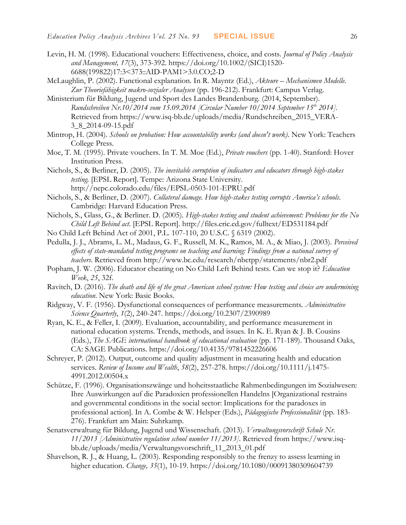- Levin, H. M. (1998). Educational vouchers: Effectiveness, choice, and costs. *Journal of Policy Analysis and Management, 17*(3), 373-392. https://doi.org/10.1002/(SICI)1520- 6688(199822)17:3<373::AID-PAM1>3.0.CO;2-D
- McLaughlin, P. (2002). Functional explanation. In R. Mayntz (Ed.), *Akteure – Mechanismen Modelle. Zur Theoriefähigkeit makro-sozialer Analysen* (pp. 196-212). Frankfurt: Campus Verlag.
- Ministerium für Bildung, Jugend und Sport des Landes Brandenburg. (2014, September). *Rundschreiben Nr.10/2014 vom 15.09.2014 [Circular Number 10/2014 September 15th 2014].* Retrieved from https://www.isq-bb.de/uploads/media/Rundschreiben\_2015\_VERA-3\_8\_2014-09-15.pdf
- Mintrop, H. (2004). *Schools on probation: How accountability works (and doesn't work)*. New York: Teachers College Press.
- Moe, T. M. (1995). Private vouchers. In T. M. Moe (Ed.), *Private vouchers* (pp. 1-40). Stanford: Hover Institution Press.
- Nichols, S., & Berliner, D. (2005). *The inevitable corruption of indicators and educators through high-stakes testing.* [EPSL Report]. Tempe: Arizona State University. http://nepc.colorado.edu/files/EPSL-0503-101-EPRU.pdf
- Nichols, S., & Berliner, D. (2007). *Collateral damage. How high-stakes testing corrupts America's schools*. Cambridge: Harvard Education Press.
- Nichols, S., Glass, G., & Berliner. D. (2005). *High-stakes testing and student achievement: Problems for the No Child Left Behind act.* [EPSL Report].<http://files.eric.ed.gov/fulltext/ED531184.pdf>
- No Child Left Behind Act of 2001, P.L. 107-110, 20 U.S.C. § 6319 (2002).
- Pedulla, J. J., Abrams, L. M., Madaus, G. F., Russell, M. K., Ramos, M. A., & Miao, J. (2003). *Perceived effects of state-mandated testing programs on teaching and learning: Findings from a national survey of teachers*. Retrieved from http://www.bc.edu/research/nbetpp/statements/nbr2.pdf
- Popham, J. W. (2006). Educator cheating on No Child Left Behind tests. Can we stop it? *Education Week*, *25*, 32f.
- Ravitch, D. (2016). *The death and life of the great American school system: How testing and choice are undermining education*. New York: Basic Books.
- Ridgway, V. F. (1956). Dysfunctional consequences of performance measurements. *Administrative Science Quarterly*, *1*(2), 240-247. https://doi.org/10.2307/2390989
- Ryan, K. E., & Feller, I. (2009). Evaluation, accountability, and performance measurement in national education systems. Trends, methods, and issues. In K. E. Ryan & J. B. Cousins (Eds.), *The SAGE international handbook of educational evaluation* (pp. 171-189). Thousand Oaks, CA: SAGE Publications. https://doi.org/10.4135/9781452226606
- Schreyer, P. (2012). Output, outcome and quality adjustment in measuring health and education services. *Review of Income and Wealth*, *58*(2), 257-278. https://doi.org/10.1111/j.1475- 4991.2012.00504.x
- Schütze, F. (1996). Organisationszwänge und hoheitsstaatliche Rahmenbedingungen im Sozialwesen: Ihre Auswirkungen auf die Paradoxien professionellen Handelns [Organizational restrains and governmental conditions in the social sector: Implications for the paradoxes in professional action]. In A. Combe & W. Helsper (Eds.), *Pädagogische Professionalität* (pp. 183- 276). Frankfurt am Main: Suhrkamp.
- Senatsverwaltung für Bildung, Jugend und Wissenschaft. (2013). *Verwaltungsvorschrift Schule Nr. 11/2013 [Administrative regulation school number 11/2013]*. Retrieved from https://www.isqbb.de/uploads/media/Verwaltungsvorschrift\_11\_2013\_01.pdf
- Shavelson, R. J., & Huang, L. (2003). Responding responsibly to the frenzy to assess learning in higher education. *Change, 35*(1), 10-19. https://doi.org/10.1080/00091380309604739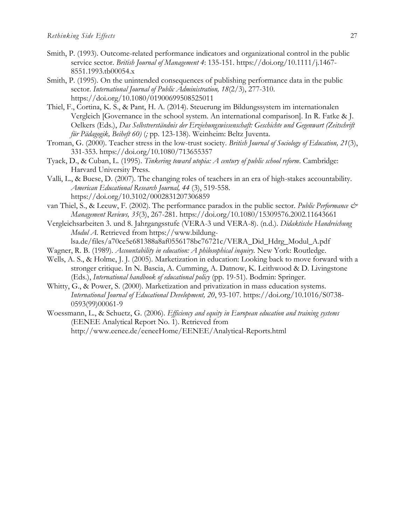- Smith, P. (1993). Outcome-related performance indicators and organizational control in the public service sector. *British Journal of Management 4*: 135-151. https://doi.org/10.1111/j.1467- 8551.1993.tb00054.x
- Smith, P. (1995). On the unintended consequences of publishing performance data in the public sector. *International Journal of Public Administration, 18*(2/3), 277-310. https://doi.org/10.1080/01900699508525011
- Thiel, F., Cortina, K. S., & Pant, H. A. (2014). Steuerung im Bildungssystem im internationalen Vergleich [Governance in the school system. An international comparison]. In R. Fatke & J. Oelkers (Eds.), *Das Selbstverständnis der Erziehungswissenschaft: Geschichte und Gegenwart (Zeitschrift für Pädagogik, Beiheft 60)* (*;* pp. 123-138). Weinheim: Beltz Juventa.
- Troman, G. (2000). Teacher stress in the low-trust society. *British Journal of Sociology of Education, 21*(3), 331-353. https://doi.org/10.1080/713655357
- Tyack, D., & Cuban, L. (1995). *Tinkering toward utopia: A century of public school reform*. Cambridge: Harvard University Press.
- Valli, L., & Buese, D. (2007). The changing roles of teachers in an era of high-stakes accountability. *American Educational Research Journal, 44* (3), 519-558. https://doi.org/10.3102/0002831207306859
- van Thiel, S., & Leeuw, F. (2002). The performance paradox in the public sector. *Public Performance & Management Reviews, 35*(3), 267-281. https://doi.org/10.1080/15309576.2002.11643661
- Vergleichsarbeiten 3. und 8. Jahrgangsstufe (VERA-3 und VERA-8). (n.d.). *Didaktische Handreichung Modul A*. Retrieved from https://www.bildung
	- lsa.de/files/a70ce5e681388a8af0556178bc76721c/VERA\_Did\_Hdrg\_Modul\_A.pdf
- Wagner, R. B. (1989). *Accountability in education: A philosophical inquiry.* New York: Routledge.
- Wells, A. S., & Holme, J. J. (2005). Marketization in education: Looking back to move forward with a stronger critique. In N. Bascia, A. Cumming, A. Datnow, K. Leithwood & D. Livingstone (Eds.), *International handbook of educational policy* (pp. 19-51). Bodmin: Springer.
- Whitty, G., & Power, S. (2000). Marketization and privatization in mass education systems. *International Journal of Educational Development, 20*, 93-107. https://doi.org/10.1016/S0738- 0593(99)00061-9
- Woessmann, L., & Schuetz, G. (2006). *Efficiency and equity in European education and training systems*  (EENEE Analytical Report No. 1). Retrieved from <http://www.eenee.de/eeneeHome/EENEE/Analytical-Reports.html>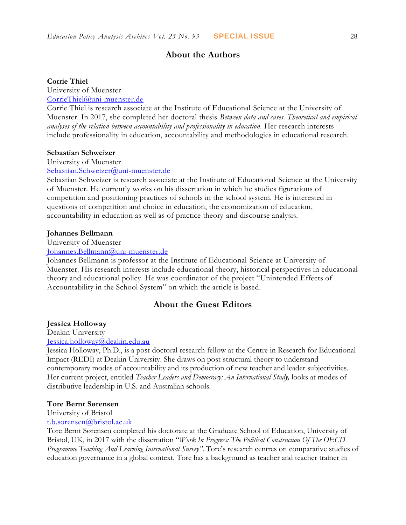# **About the Authors**

### **Corrie Thiel**

University of Muenster

[CorrieThiel@uni-muenster.de](mailto:CorrieThiel@uni-muenster.de)

Corrie Thiel is research associate at the Institute of Educational Science at the University of Muenster. In 2017, she completed her doctoral thesis *Between data and cases. Theoretical and empirical analyses of the relation between accountability and professionality in education.* Her research interests include professionality in education, accountability and methodologies in educational research.

#### **Sebastian Schweizer**

University of Muenster

[Sebastian.Schweizer@uni-muenster.de](mailto:Sebastian.Schweizer@uni-muenster.de)

Sebastian Schweizer is research associate at the Institute of Educational Science at the University of Muenster. He currently works on his dissertation in which he studies figurations of competition and positioning practices of schools in the school system. He is interested in questions of competition and choice in education, the economization of education, accountability in education as well as of practice theory and discourse analysis.

## **Johannes Bellmann**

University of Muenster

[Johannes.Bellmann@uni-muenster.de](mailto:Johannes.Bellmann@uni-muenster.de)

Johannes Bellmann is professor at the Institute of Educational Science at University of Muenster. His research interests include educational theory, historical perspectives in educational theory and educational policy. He was coordinator of the project "Unintended Effects of Accountability in the School System" on which the article is based.

## **About the Guest Editors**

## **Jessica Holloway**

Deakin University [Jessica.holloway@deakin.edu.au](mailto:Jessica.holloway@deakin.edu.au)

Jessica Holloway, Ph.D., is a post-doctoral research fellow at the Centre in Research for Educational Impact (REDI) at Deakin University. She draws on post-structural theory to understand contemporary modes of accountability and its production of new teacher and leader subjectivities. Her current project, entitled *Teacher Leaders and Democracy: An International Study,* looks at modes of distributive leadership in U.S. and Australian schools.

### **Tore Bernt Sørensen**

University of Bristol

[t.b.sorensen@bristol.ac.uk](mailto:t.b.sorensen@bristol.ac.uk)

Tore Bernt Sørensen completed his doctorate at the Graduate School of Education, University of Bristol, UK, in 2017 with the dissertation "*Work In Progress: The Political Construction Of The OECD Programme Teaching And Learning International Survey"*. Tore's research centres on comparative studies of education governance in a global context. Tore has a background as teacher and teacher trainer in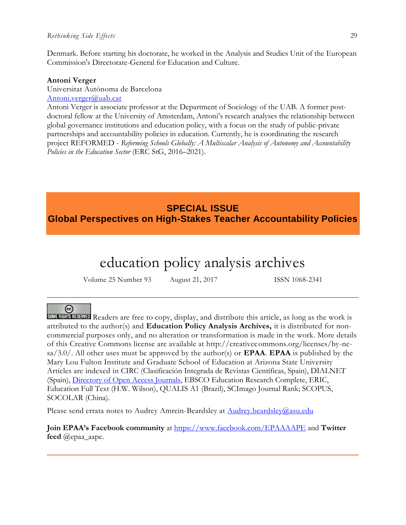#### *Rethinking Side Effects* 29

Denmark. Before starting his doctorate, he worked in the Analysis and Studies Unit of the European Commission's Directorate-General for Education and Culture.

#### **Antoni Verger**

Universitat Autònoma de Barcelona [Antoni.verger@uab.cat](mailto:Antoni.verger@uab.cat)

Antoni Verger is associate professor at the Department of Sociology of the UAB. A former postdoctoral fellow at the University of Amsterdam, Antoni's research analyses the relationship between global governance institutions and education policy, with a focus on the study of public-private partnerships and accountability policies in education. Currently, he is coordinating the research project REFORMED - *Reforming Schools Globally: A Multiscalar Analysis of Autonomy and Accountability Policies in the Education Sector* (ERC StG, 2016–2021).

# **SPECIAL ISSUE Global Perspectives on High-Stakes Teacher Accountability Policies**

# education policy analysis archives

Volume 25 Number 93 August 21, 2017 ISSN 1068-2341

# $\left($ cc $\right)$

SOME RIGHTS RESERVED Readers are free to copy, display, and distribute this article, as long as the work is attributed to the author(s) and **Education Policy Analysis Archives,** it is distributed for noncommercial purposes only, and no alteration or transformation is made in the work. More details of this Creative Commons license are available at http://creativecommons.org/licenses/by-ncsa/3.0/. All other uses must be approved by the author(s) or **EPAA**. **EPAA** is published by the Mary Lou Fulton Institute and Graduate School of Education at Arizona State University Articles are indexed in CIRC (Clasificación Integrada de Revistas Científicas, Spain), DIALNET (Spain), [Directory of Open Access Journals,](http://www.doaj.org/) EBSCO Education Research Complete, ERIC, Education Full Text (H.W. Wilson), QUALIS A1 (Brazil), SCImago Journal Rank; SCOPUS, SOCOLAR (China).

Please send errata notes to Audrey Amrein-Beardsley at [Audrey.beardsley@asu.edu](mailto:Audrey.beardsley@asu.edu)

**Join EPAA's Facebook community** at<https://www.facebook.com/EPAAAAPE> and **Twitter feed** @epaa\_aape.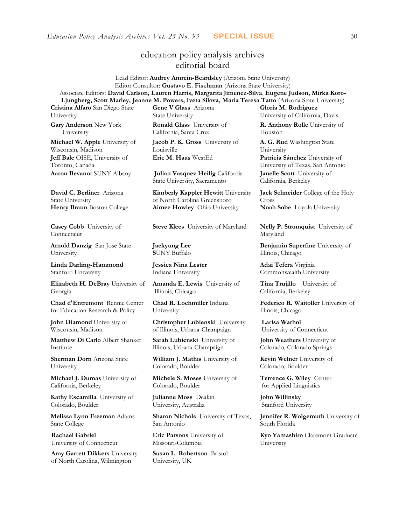# education policy analysis archives editorial board

Lead Editor: **Audrey Amrein-Beardsley** (Arizona State University) Editor Consultor: **Gustavo E. Fischman** (Arizona State University) Associate Editors: **David Carlson, Lauren Harris, Margarita Jimenez-Silva**, **Eugene Judson, Mirka Koro-Ljungberg, Scott Marley, Jeanne M. Powers, Iveta Silova, Maria Teresa Tatto** (Arizona State University)

**Cristina Alfaro** San Diego State University

**Gary Anderson** New York University

**Michael W. Apple** University of Wisconsin, Madison **Jeff Bale** OISE, University of Toronto, Canada

**David C. Berliner** Arizona State University

**Casey Cobb** University of Connecticut

**Arnold Danzig** San Jose State University

**Linda Darling-Hammond**  Stanford University

**Elizabeth H. DeBray** University of Georgia

**Chad d'Entremont** Rennie Center for Education Research & Policy

**John Diamond** University of Wisconsin, Madison

**Matthew Di Carlo** Albert Shanker Institute

**Sherman Dorn** Arizona State University

**Michael J. Dumas** University of California, Berkeley

**Kathy Escamilla** University of Colorado, Boulder

**Melissa Lynn Freeman** Adams State College

**Rachael Gabriel** University of Connecticut

**Amy Garrett Dikkers** University of North Carolina, Wilmington

**Gene V Glass** Arizona State University **Ronald Glass** University of

California, Santa Cruz

**Jacob P. K. Gross** University of Louisville

**Aaron Bevanot** SUNY Albany **Julian Vasquez Heilig** California State University, Sacramento

**Kimberly Kappler Hewitt** University of North Carolina Greensboro **Henry Braun** Boston College **Aimee Howley** Ohio University **Noah Sobe** Loyola University

**Steve Klees** University of Maryland **Nelly P. Stromquist** University of

**Jaekyung Lee S**UNY Buffalo

**Jessica Nina Lester** Indiana University

**Amanda E. Lewis** University of Illinois, Chicago

**Chad R. Lochmiller** Indiana University

**Christopher Lubienski** University of Illinois, Urbana-Champaign

**Sarah Lubienski** University of Illinois, Urbana-Champaign

**William J. Mathis** University of Colorado, Boulder

**Michele S. Moses** University of Colorado, Boulder

**Julianne Moss** Deakin University, Australia

**Sharon Nichols** University of Texas, San Antonio

**Eric Parsons** University of Missouri-Columbia

**Susan L. Robertson** Bristol University, UK

**Gloria M. Rodriguez** University of California, Davis

**R. Anthony Rolle** University of Houston

**A. G. Rud** Washington State University **Eric M. Haas** WestEd **Patricia Sánchez** University of University of Texas, San Antonio **Janelle Scott** University of California, Berkeley

> **Jack Schneider** College of the Holy Cross

Maryland

**Benjamin Superfine** University of Illinois, Chicago

**Adai Tefera** Virginia Commonwealth University

**Tina Trujillo** University of California, Berkeley

**Federico R. Waitoller** University of Illinois, Chicago

**Larisa Warhol** University of Connecticut

**John Weathers** University of Colorado, Colorado Springs

**Kevin Welner** University of Colorado, Boulder

**Terrence G. Wiley** Center for Applied Linguistics

**John Willinsky**  Stanford University

**Jennifer R. Wolgemuth** University of South Florida

**Kyo Yamashiro** Claremont Graduate University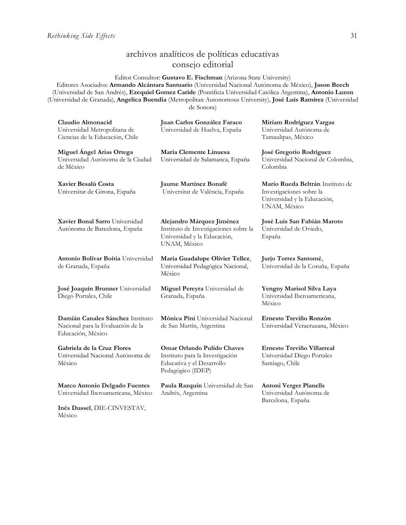México

# archivos analíticos de políticas educativas consejo editorial

Editor Consultor: **Gustavo E. Fischman** (Arizona State University)

Editores Asociados: **Armando Alcántara Santuario** (Universidad Nacional Autónoma de México), **Jason Beech** (Universidad de San Andrés), **Ezequiel Gomez Caride** (Pontificia Universidad Católica Argentina), **Antonio Luzon** (Universidad de Granada), **Angelica Buendia** (Metropolitan Autonomous University), **José Luis Ramírez** (Universidad de Sonora)

| Claudio Almonacid<br>Universidad Metropolitana de<br>Ciencias de la Educación, Chile               | Juan Carlos González Faraco<br>Universidad de Huelva, España                                                      | Miriam Rodríguez Vargas<br>Universidad Autónoma de<br>Tamaulipas, México                                    |
|----------------------------------------------------------------------------------------------------|-------------------------------------------------------------------------------------------------------------------|-------------------------------------------------------------------------------------------------------------|
| Miguel Angel Arias Ortega<br>Universidad Autónoma de la Ciudad<br>de México                        | María Clemente Linuesa<br>Universidad de Salamanca, España                                                        | José Gregorio Rodríguez<br>Universidad Nacional de Colombia,<br>Colombia                                    |
| Xavier Besalú Costa<br>Universitat de Girona, España                                               | Jaume Martínez Bonafé<br>Universitat de València, España                                                          | Mario Rueda Beltrán Instituto de<br>Investigaciones sobre la<br>Universidad y la Educación,<br>UNAM, México |
| Xavier Bonal Sarro Universidad<br>Autónoma de Barcelona, España                                    | Alejandro Márquez Jiménez<br>Instituto de Investigaciones sobre la<br>Universidad y la Educación,<br>UNAM, México | José Luis San Fabián Maroto<br>Universidad de Oviedo,<br>España                                             |
| Antonio Bolívar Boitia Universidad<br>de Granada, España                                           | María Guadalupe Olivier Tellez,<br>Universidad Pedagógica Nacional,<br>México                                     | Jurjo Torres Santomé,<br>Universidad de la Coruña, España                                                   |
| José Joaquín Brunner Universidad<br>Diego Portales, Chile                                          | Miguel Pereyra Universidad de<br>Granada, España                                                                  | Yengny Marisol Silva Laya<br>Universidad Iberoamericana,<br>México                                          |
| Damián Canales Sánchez Instituto<br>Nacional para la Evaluación de la<br>Educación, México         | Mónica Pini Universidad Nacional<br>de San Martín, Argentina                                                      | Ernesto Treviño Ronzón<br>Universidad Veracruzana, México                                                   |
| Gabriela de la Cruz Flores<br>Universidad Nacional Autónoma de<br>México                           | Omar Orlando Pulido Chaves<br>Instituto para la Investigación<br>Educativa y el Desarrollo<br>Pedagógico (IDEP)   | Ernesto Treviño Villarreal<br>Universidad Diego Portales<br>Santiago, Chile                                 |
| Marco Antonio Delgado Fuentes<br>Universidad Iberoamericana, México<br>Inés Dussel, DIE-CINVESTAV, | Paula Razquin Universidad de San<br>Andrés, Argentina                                                             | <b>Antoni Verger Planells</b><br>Universidad Autónoma de<br>Barcelona, España                               |